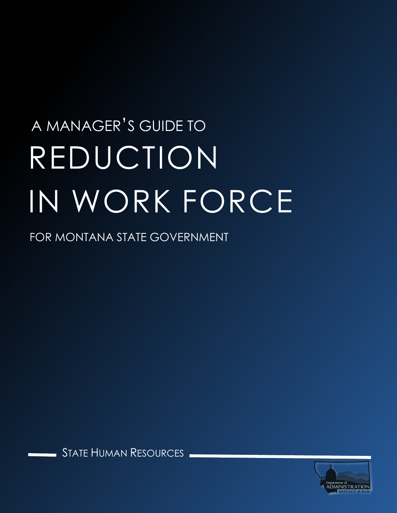# A MANAGER'S GUIDE TO REDUCTION IN WORK FORCE

FOR MONTANA STATE GOVERNMENT

STATE HUMAN RESOURCES

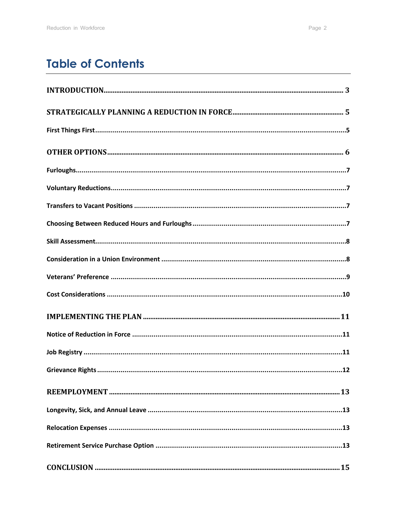# **Table of Contents**

| Grievance Rights<br>.12 |
|-------------------------|
|                         |
|                         |
|                         |
|                         |
|                         |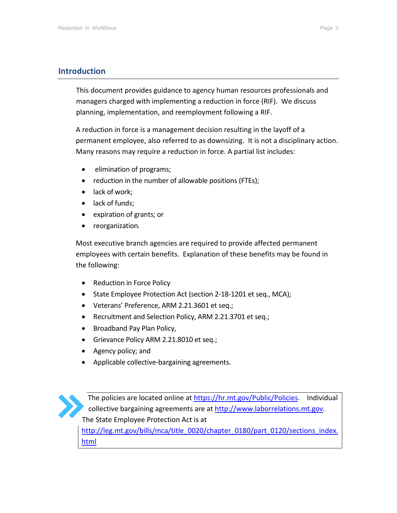# <span id="page-2-0"></span>**Introduction**

This document provides guidance to agency human resources professionals and managers charged with implementing a reduction in force (RIF). We discuss planning, implementation, and reemployment following a RIF.

A reduction in force is a management decision resulting in the layoff of a permanent employee, also referred to as downsizing. It is not a disciplinary action. Many reasons may require a reduction in force. A partial list includes:

- elimination of programs;
- reduction in the number of allowable positions (FTEs);
- lack of work;
- lack of funds;
- expiration of grants; or
- reorganization*.*

Most executive branch agencies are required to provide affected permanent employees with certain benefits. Explanation of these benefits may be found in the following:

- Reduction in Force Policy
- State Employee Protection Act (section 2-18-1201 et seq., MCA);
- Veterans' Preference, ARM 2.21.3601 et seq.;
- Recruitment and Selection Policy, ARM 2.21.3701 et seq.;
- Broadband Pay Plan Policy,
- Grievance Policy ARM 2.21.8010 et seq.;
- Agency policy; and
- Applicable collective-bargaining agreements.



The policies are located online at [https://hr.mt.gov/Public/Policies.](https://hr.mt.gov/Public/Policies) Individual collective bargaining agreements are at [http://www.laborrelations.mt.gov.](http://www.laborrelations.mt.gov/) The State Employee Protection Act is at

[http://leg.mt.gov/bills/mca/title\\_0020/chapter\\_0180/part\\_0120/sections\\_index.](http://leg.mt.gov/bills/mca/title_0020/chapter_0180/part_0120/sections_index.html) [html](http://leg.mt.gov/bills/mca/title_0020/chapter_0180/part_0120/sections_index.html)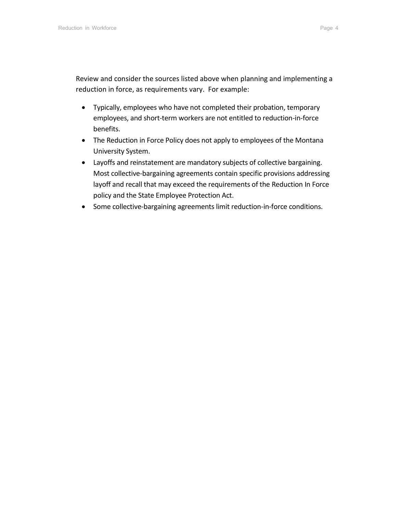Review and consider the sources listed above when planning and implementing a reduction in force, as requirements vary. For example:

- Typically, employees who have not completed their probation, temporary employees, and short-term workers are not entitled to reduction-in-force benefits.
- The Reduction in Force Policy does not apply to employees of the Montana University System.
- Layoffs and reinstatement are mandatory subjects of collective bargaining. Most collective-bargaining agreements contain specific provisions addressing layoff and recall that may exceed the requirements of the Reduction In Force policy and the State Employee Protection Act.
- Some collective-bargaining agreements limit reduction-in-force conditions.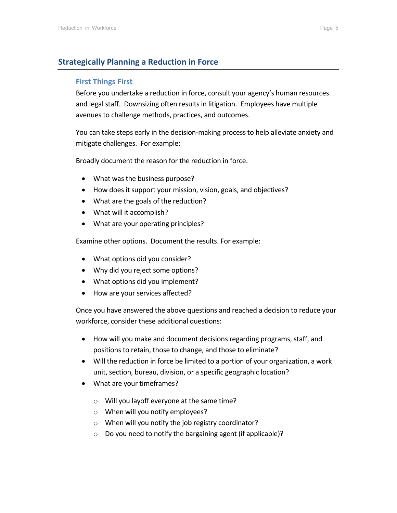# <span id="page-4-1"></span><span id="page-4-0"></span>**Strategically Planning a Reduction in Force**

## **First Things First**

Before you undertake a reduction in force, consult your agency's human resources and legal staff. Downsizing often results in litigation. Employees have multiple avenues to challenge methods, practices, and outcomes.

You can take steps early in the decision-making process to help alleviate anxiety and mitigate challenges. For example:

Broadly document the reason for the reduction in force.

- What was the business purpose?
- How does it support your mission, vision, goals, and objectives?
- What are the goals of the reduction?
- What will it accomplish?
- What are your operating principles?

Examine other options. Document the results. For example:

- What options did you consider?
- Why did you reject some options?
- What options did you implement?
- How are your services affected?

Once you have answered the above questions and reached a decision to reduce your workforce, consider these additional questions:

- How will you make and document decisions regarding programs, staff, and positions to retain, those to change, and those to eliminate?
- Will the reduction in force be limited to a portion of your organization, a work unit, section, bureau, division, or a specific geographic location?
- What are your timeframes?
	- o Will you layoff everyone at the same time?
	- o When will you notify employees?
	- o When will you notify the job registry coordinator?
	- o Do you need to notify the bargaining agent (if applicable)?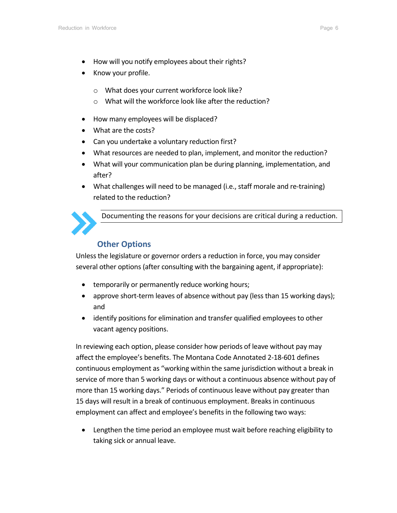- How will you notify employees about their rights?
- Know your profile.
	- o What does your current workforce look like?
	- o What will the workforce look like after the reduction?
- How many employees will be displaced?
- What are the costs?
- Can you undertake a voluntary reduction first?
- What resources are needed to plan, implement, and monitor the reduction?
- What will your communication plan be during planning, implementation, and after?
- What challenges will need to be managed (i.e., staff morale and re-training) related to the reduction?



Documenting the reasons for your decisions are critical during a reduction.

# <span id="page-5-0"></span>**Other Options**

Unless the legislature or governor orders a reduction in force, you may consider several other options (after consulting with the bargaining agent, if appropriate):

- temporarily or permanently reduce working hours;
- approve short-term leaves of absence without pay (less than 15 working days); and
- identify positions for elimination and transfer qualified employees to other vacant agency positions.

In reviewing each option, please consider how periods of leave without pay may affect the employee's benefits. The Montana Code Annotated 2-18-601 defines continuous employment as "working within the same jurisdiction without a break in service of more than 5 working days or without a continuous absence without pay of more than 15 working days." Periods of continuous leave without pay greater than 15 days will result in a break of continuous employment. Breaks in continuous employment can affect and employee's benefits in the following two ways:

• Lengthen the time period an employee must wait before reaching eligibility to taking sick or annual leave.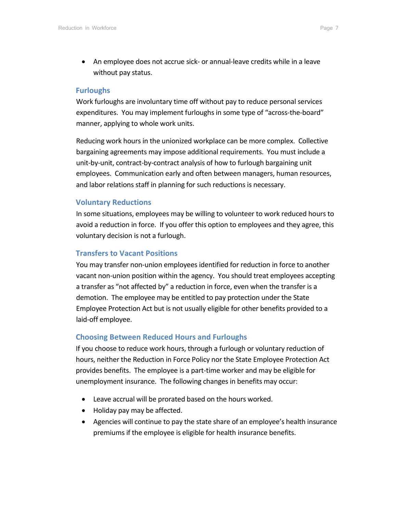• An employee does not accrue sick- or annual-leave credits while in a leave without pay status.

#### <span id="page-6-0"></span>**Furloughs**

Work furloughs are involuntary time off without pay to reduce personal services expenditures. You may implement furloughs in some type of "across-the-board" manner, applying to whole work units.

Reducing work hours in the unionized workplace can be more complex. Collective bargaining agreements may impose additional requirements. You must include a unit-by-unit, contract-by-contract analysis of how to furlough bargaining unit employees. Communication early and often between managers, human resources, and labor relations staff in planning for such reductions is necessary.

# <span id="page-6-1"></span>**Voluntary Reductions**

In some situations, employees may be willing to volunteer to work reduced hours to avoid a reduction in force. If you offer this option to employees and they agree, this voluntary decision is not a furlough.

# <span id="page-6-2"></span>**Transfers to Vacant Positions**

You may transfer non-union employees identified for reduction in force to another vacant non-union position within the agency. You should treat employees accepting a transfer as "not affected by" a reduction in force, even when the transfer is a demotion. The employee may be entitled to pay protection under the State Employee Protection Act but is not usually eligible for other benefits provided to a laid-off employee.

# <span id="page-6-3"></span>**Choosing Between Reduced Hours and Furloughs**

If you choose to reduce work hours, through a furlough or voluntary reduction of hours, neither the Reduction in Force Policy nor the State Employee Protection Act provides benefits. The employee is a part-time worker and may be eligible for unemployment insurance. The following changes in benefits may occur:

- Leave accrual will be prorated based on the hours worked.
- Holiday pay may be affected.
- Agencies will continue to pay the state share of an employee's health insurance premiums if the employee is eligible for health insurance benefits.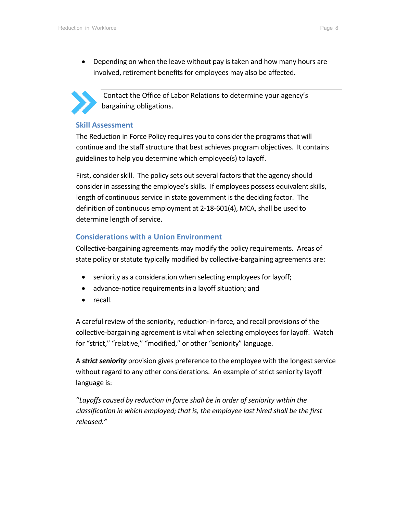• Depending on when the leave without pay is taken and how many hours are involved, retirement benefits for employees may also be affected.



Contact the Office of Labor Relations to determine your agency's bargaining obligations.

#### <span id="page-7-0"></span>**Skill Assessment**

The Reduction in Force Policy requires you to consider the programs that will continue and the staff structure that best achieves program objectives. It contains guidelines to help you determine which employee(s) to layoff.

First, consider skill. The policy sets out several factors that the agency should consider in assessing the employee's skills. If employees possess equivalent skills, length of continuous service in state government is the deciding factor. The definition of continuous employment at 2-18-601(4), MCA, shall be used to determine length of service.

# <span id="page-7-1"></span>**Considerations with a Union Environment**

Collective-bargaining agreements may modify the policy requirements. Areas of state policy or statute typically modified by collective-bargaining agreements are:

- seniority as a consideration when selecting employees for layoff;
- advance-notice requirements in a layoff situation; and
- recall.

A careful review of the seniority, reduction-in-force, and recall provisions of the collective-bargaining agreement is vital when selecting employees for layoff. Watch for "strict," "relative," "modified," or other "seniority" language.

A *strict seniority* provision gives preference to the employee with the longest service without regard to any other considerations. An example of strict seniority layoff language is:

"*Layoffs caused by reduction in force shall be in order of seniority within the classification in which employed; that is, the employee last hired shall be the first released."*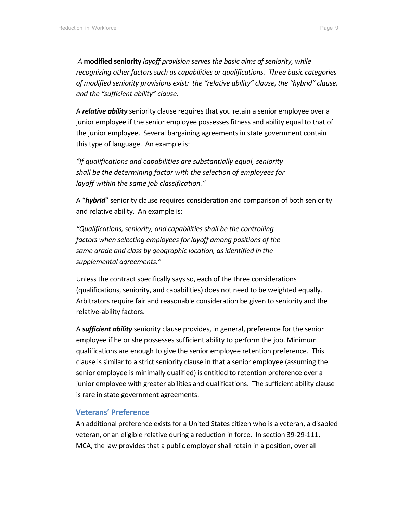*A* **modified seniority** *layoff provision serves the basic aims of seniority, while recognizing other factors such as capabilities or qualifications. Three basic categories of modified seniority provisions exist: the "relative ability" clause, the "hybrid" clause, and the "sufficient ability" clause.* 

A *relative ability* seniority clause requires that you retain a senior employee over a junior employee if the senior employee possesses fitness and ability equal to that of the junior employee. Several bargaining agreements in state government contain this type of language. An example is:

*"If qualifications and capabilities are substantially equal, seniority shall be the determining factor with the selection of employees for layoff within the same job classification."*

A "*hybrid*" seniority clause requires consideration and comparison of both seniority and relative ability. An example is:

*"Qualifications, seniority, and capabilities shall be the controlling factors when selecting employees for layoff among positions of the same grade and class by geographic location, as identified in the supplemental agreements."* 

Unless the contract specifically says so, each of the three considerations (qualifications, seniority, and capabilities) does not need to be weighted equally. Arbitrators require fair and reasonable consideration be given to seniority and the relative-ability factors.

A *sufficient ability* seniority clause provides, in general, preference for the senior employee if he or she possesses sufficient ability to perform the job. Minimum qualifications are enough to give the senior employee retention preference. This clause is similar to a strict seniority clause in that a senior employee (assuming the senior employee is minimally qualified) is entitled to retention preference over a junior employee with greater abilities and qualifications. The sufficient ability clause is rare in state government agreements.

#### <span id="page-8-0"></span>**Veterans' Preference**

An additional preference exists for a United States citizen who is a veteran, a disabled veteran, or an eligible relative during a reduction in force. In section 39-29-111, MCA, the law provides that a public employer shall retain in a position, over all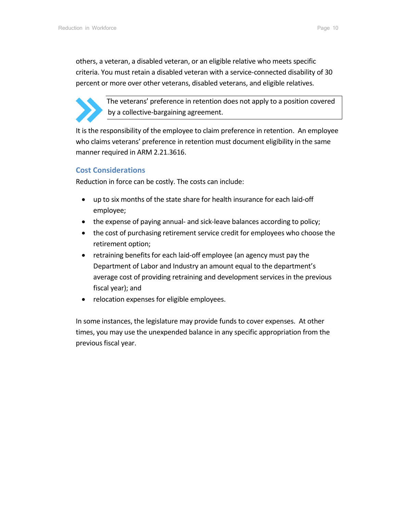others, a veteran, a disabled veteran, or an eligible relative who meets specific criteria. You must retain a disabled veteran with a service-connected disability of 30 percent or more over other veterans, disabled veterans, and eligible relatives.



The veterans' preference in retention does not apply to a position covered by a collective-bargaining agreement.

It is the responsibility of the employee to claim preference in retention. An employee who claims veterans' preference in retention must document eligibility in the same manner required in ARM 2.21.3616.

# <span id="page-9-0"></span>**Cost Considerations**

Reduction in force can be costly. The costs can include:

- up to six months of the state share for health insurance for each laid-off employee;
- the expense of paying annual- and sick-leave balances according to policy;
- the cost of purchasing retirement service credit for employees who choose the retirement option;
- retraining benefits for each laid-off employee (an agency must pay the Department of Labor and Industry an amount equal to the department's average cost of providing retraining and development services in the previous fiscal year); and
- relocation expenses for eligible employees.

In some instances, the legislature may provide funds to cover expenses. At other times, you may use the unexpended balance in any specific appropriation from the previous fiscal year.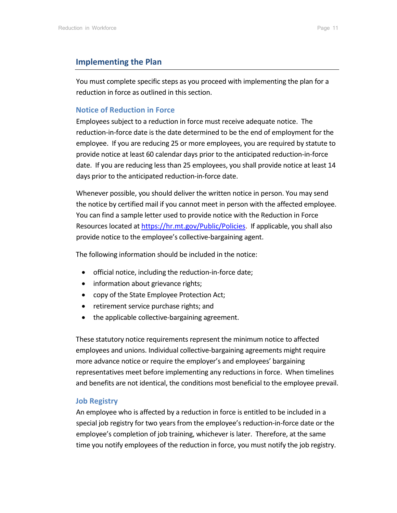#### <span id="page-10-0"></span>**Implementing the Plan**

You must complete specific steps as you proceed with implementing the plan for a reduction in force as outlined in this section.

#### <span id="page-10-1"></span>**Notice of Reduction in Force**

Employees subject to a reduction in force must receive adequate notice. The reduction-in-force date is the date determined to be the end of employment for the employee. If you are reducing 25 or more employees, you are required by statute to provide notice at least 60 calendar days prior to the anticipated reduction-in-force date. If you are reducing less than 25 employees, you shall provide notice at least 14 days prior to the anticipated reduction-in-force date.

Whenever possible, you should deliver the written notice in person. You may send the notice by certified mail if you cannot meet in person with the affected employee. You can find a sample letter used to provide notice with the Reduction in Force Resources located at [https://hr.mt.gov/Public/Policies.](https://hr.mt.gov/Public/Policies) If applicable, you shall also provide notice to the employee's collective-bargaining agent.

The following information should be included in the notice:

- official notice, including the reduction-in-force date;
- information about grievance rights;
- copy of the State Employee Protection Act;
- retirement service purchase rights; and
- the applicable collective-bargaining agreement.

These statutory notice requirements represent the minimum notice to affected employees and unions. Individual collective-bargaining agreements might require more advance notice or require the employer's and employees' bargaining representatives meet before implementing any reductions in force. When timelines and benefits are not identical, the conditions most beneficial to the employee prevail.

#### <span id="page-10-2"></span>**Job Registry**

An employee who is affected by a reduction in force is entitled to be included in a special job registry for two years from the employee's reduction-in-force date or the employee's completion of job training, whichever is later. Therefore, at the same time you notify employees of the reduction in force, you must notify the job registry.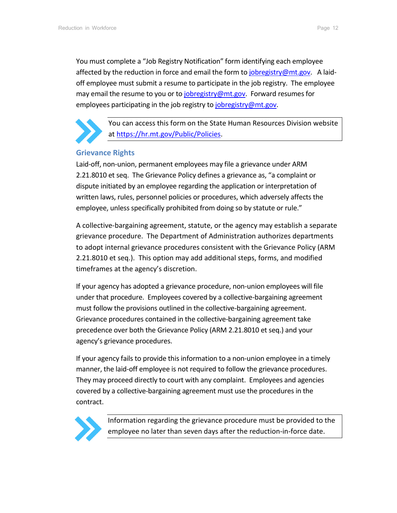You must complete a "Job Registry Notification" form identifying each employee affected by the reduction in force and email the form to [jobregistry@mt.gov.](mailto:jobregistry@mt.gov) A laidoff employee must submit a resume to participate in the job registry. The employee may email the resume to you or to [jobregistry@mt.gov.](mailto:jobregistry@mt.gov) Forward resumes for employees participating in the job registry to *jobregistry@mt.gov*.



You can access this form on the State Human Resources Division website a[t https://hr.mt.gov/Public/Policies.](https://hr.mt.gov/Public/Policies)

## <span id="page-11-0"></span>**Grievance Rights**

Laid-off, non-union, permanent employees may file a grievance under ARM 2.21.8010 et seq. The Grievance Policy defines a grievance as, "a complaint or dispute initiated by an employee regarding the application or interpretation of written laws, rules, personnel policies or procedures, which adversely affects the employee, unless specifically prohibited from doing so by statute or rule."

A collective-bargaining agreement, statute, or the agency may establish a separate grievance procedure. The Department of Administration authorizes departments to adopt internal grievance procedures consistent with the Grievance Policy (ARM 2.21.8010 et seq.). This option may add additional steps, forms, and modified timeframes at the agency's discretion.

If your agency has adopted a grievance procedure, non-union employees will file under that procedure. Employees covered by a collective-bargaining agreement must follow the provisions outlined in the collective-bargaining agreement. Grievance procedures contained in the collective-bargaining agreement take precedence over both the Grievance Policy (ARM 2.21.8010 et seq.) and your agency's grievance procedures.

If your agency fails to provide this information to a non-union employee in a timely manner, the laid-off employee is not required to follow the grievance procedures. They may proceed directly to court with any complaint. Employees and agencies covered by a collective-bargaining agreement must use the procedures in the contract.



Information regarding the grievance procedure must be provided to the employee no later than seven days after the reduction-in-force date.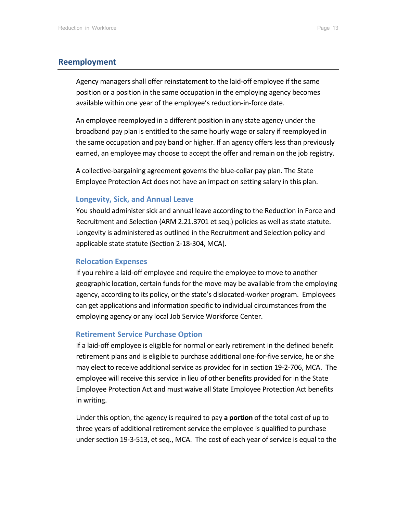#### <span id="page-12-0"></span>**Reemployment**

Agency managers shall offer reinstatement to the laid-off employee if the same position or a position in the same occupation in the employing agency becomes available within one year of the employee's reduction-in-force date.

An employee reemployed in a different position in any state agency under the broadband pay plan is entitled to the same hourly wage or salary if reemployed in the same occupation and pay band or higher. If an agency offers less than previously earned, an employee may choose to accept the offer and remain on the job registry.

A collective-bargaining agreement governs the blue-collar pay plan. The State Employee Protection Act does not have an impact on setting salary in this plan.

#### <span id="page-12-1"></span>**Longevity, Sick, and Annual Leave**

You should administer sick and annual leave according to the Reduction in Force and Recruitment and Selection (ARM 2.21.3701 et seq.) policies as well as state statute. Longevity is administered as outlined in the Recruitment and Selection policy and applicable state statute (Section 2-18-304, MCA).

#### <span id="page-12-2"></span>**Relocation Expenses**

If you rehire a laid-off employee and require the employee to move to another geographic location, certain funds for the move may be available from the employing agency, according to its policy, or the state's dislocated-worker program. Employees can get applications and information specific to individual circumstances from the employing agency or any local Job Service Workforce Center.

#### <span id="page-12-3"></span>**Retirement Service Purchase Option**

If a laid-off employee is eligible for normal or early retirement in the defined benefit retirement plans and is eligible to purchase additional one-for-five service, he or she may elect to receive additional service as provided for in section 19-2-706, MCA. The employee will receive this service in lieu of other benefits provided for in the State Employee Protection Act and must waive all State Employee Protection Act benefits in writing.

Under this option, the agency is required to pay **a portion** of the total cost of up to three years of additional retirement service the employee is qualified to purchase under section 19-3-513, et seq., MCA.The cost of each year of service is equal to the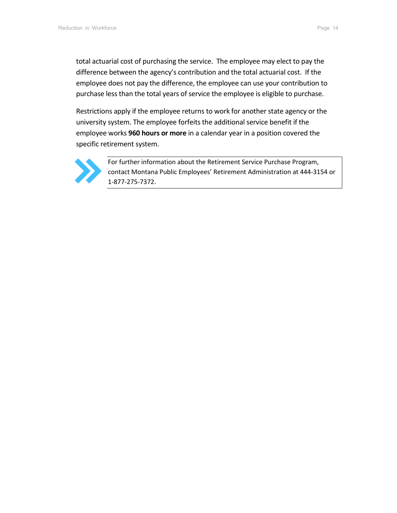total actuarial cost of purchasing the service. The employee may elect to pay the difference between the agency's contribution and the total actuarial cost. If the employee does not pay the difference, the employee can use your contribution to purchase less than the total years of service the employee is eligible to purchase.

Restrictions apply if the employee returns to work for another state agency or the university system. The employee forfeits the additional service benefit if the employee works **960 hours or more** in a calendar year in a position covered the specific retirement system.



For further information about the Retirement Service Purchase Program, contact Montana Public Employees' Retirement Administration at 444-3154 or 1-877-275-7372.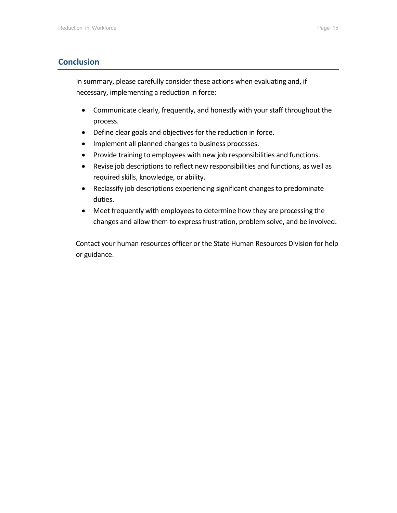# <span id="page-14-0"></span>**Conclusion**

In summary, please carefully consider these actions when evaluating and, if necessary, implementing a reduction in force:

- Communicate clearly, frequently, and honestly with your staff throughout the process.
- Define clear goals and objectives for the reduction in force.
- Implement all planned changes to business processes.
- Provide training to employees with new job responsibilities and functions.
- Revise job descriptions to reflect new responsibilities and functions, as well as required skills, knowledge, or ability.
- Reclassify job descriptions experiencing significant changes to predominate duties.
- Meet frequently with employees to determine how they are processing the changes and allow them to express frustration, problem solve, and be involved.

Contact your human resources officer or the State Human Resources Division for help or guidance.